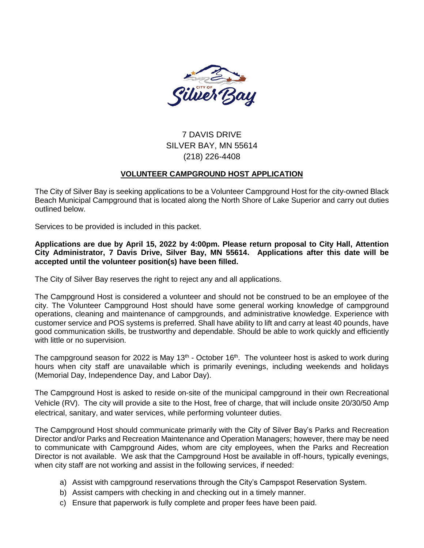

# 7 DAVIS DRIVE SILVER BAY, MN 55614 (218) 226-4408

# **VOLUNTEER CAMPGROUND HOST APPLICATION**

The City of Silver Bay is seeking applications to be a Volunteer Campground Host for the city-owned Black Beach Municipal Campground that is located along the North Shore of Lake Superior and carry out duties outlined below.

Services to be provided is included in this packet.

**Applications are due by April 15, 2022 by 4:00pm. Please return proposal to City Hall, Attention City Administrator, 7 Davis Drive, Silver Bay, MN 55614. Applications after this date will be accepted until the volunteer position(s) have been filled.**

The City of Silver Bay reserves the right to reject any and all applications.

The Campground Host is considered a volunteer and should not be construed to be an employee of the city. The Volunteer Campground Host should have some general working knowledge of campground operations, cleaning and maintenance of campgrounds, and administrative knowledge. Experience with customer service and POS systems is preferred. Shall have ability to lift and carry at least 40 pounds, have good communication skills, be trustworthy and dependable. Should be able to work quickly and efficiently with little or no supervision.

The campground season for 2022 is May 13<sup>th</sup> - October 16<sup>th</sup>. The volunteer host is asked to work during hours when city staff are unavailable which is primarily evenings, including weekends and holidays (Memorial Day, Independence Day, and Labor Day).

The Campground Host is asked to reside on-site of the municipal campground in their own Recreational Vehicle (RV). The city will provide a site to the Host, free of charge, that will include onsite 20/30/50 Amp electrical, sanitary, and water services, while performing volunteer duties.

The Campground Host should communicate primarily with the City of Silver Bay's Parks and Recreation Director and/or Parks and Recreation Maintenance and Operation Managers; however, there may be need to communicate with Campground Aides, whom are city employees, when the Parks and Recreation Director is not available. We ask that the Campground Host be available in off-hours, typically evenings, when city staff are not working and assist in the following services, if needed:

- a) Assist with campground reservations through the City's Campspot Reservation System.
- b) Assist campers with checking in and checking out in a timely manner.
- c) Ensure that paperwork is fully complete and proper fees have been paid.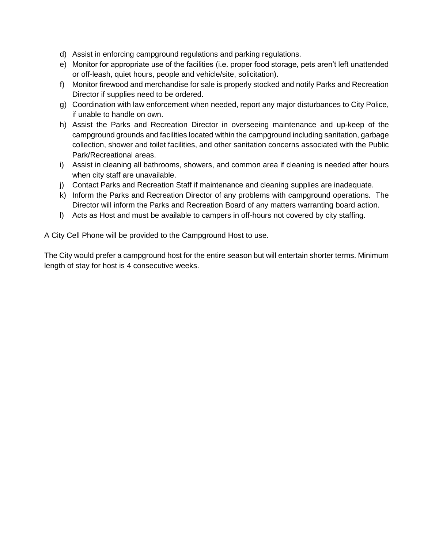- d) Assist in enforcing campground regulations and parking regulations.
- e) Monitor for appropriate use of the facilities (i.e. proper food storage, pets aren't left unattended or off-leash, quiet hours, people and vehicle/site, solicitation).
- f) Monitor firewood and merchandise for sale is properly stocked and notify Parks and Recreation Director if supplies need to be ordered.
- g) Coordination with law enforcement when needed, report any major disturbances to City Police, if unable to handle on own.
- h) Assist the Parks and Recreation Director in overseeing maintenance and up-keep of the campground grounds and facilities located within the campground including sanitation, garbage collection, shower and toilet facilities, and other sanitation concerns associated with the Public Park/Recreational areas.
- i) Assist in cleaning all bathrooms, showers, and common area if cleaning is needed after hours when city staff are unavailable.
- j) Contact Parks and Recreation Staff if maintenance and cleaning supplies are inadequate.
- k) Inform the Parks and Recreation Director of any problems with campground operations. The Director will inform the Parks and Recreation Board of any matters warranting board action.
- l) Acts as Host and must be available to campers in off-hours not covered by city staffing.

A City Cell Phone will be provided to the Campground Host to use.

The City would prefer a campground host for the entire season but will entertain shorter terms. Minimum length of stay for host is 4 consecutive weeks.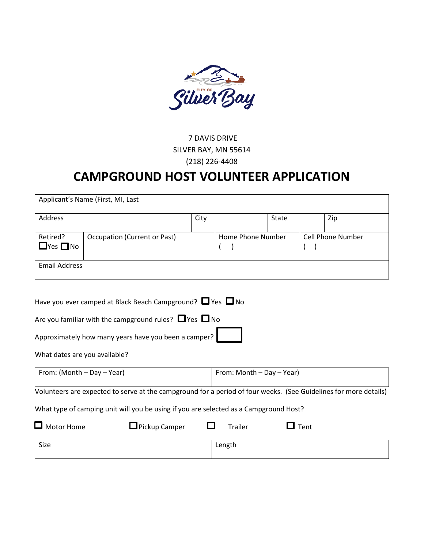

# 7 DAVIS DRIVE SILVER BAY, MN 55614 (218) 226-4408

# **CAMPGROUND HOST VOLUNTEER APPLICATION**

|                                                                                                                                                                                                           | Applicant's Name (First, MI, Last                                                                                                                                                                |      |                           |       |                                            |     |  |
|-----------------------------------------------------------------------------------------------------------------------------------------------------------------------------------------------------------|--------------------------------------------------------------------------------------------------------------------------------------------------------------------------------------------------|------|---------------------------|-------|--------------------------------------------|-----|--|
| Address                                                                                                                                                                                                   |                                                                                                                                                                                                  | City |                           | State |                                            | Zip |  |
| Retired?<br>$\Box$ Yes $\Box$ No                                                                                                                                                                          | <b>Occupation (Current or Past)</b>                                                                                                                                                              |      | Home Phone Number         |       | <b>Cell Phone Number</b><br>$\overline{ }$ |     |  |
| <b>Email Address</b>                                                                                                                                                                                      |                                                                                                                                                                                                  |      |                           |       |                                            |     |  |
| What dates are you available?                                                                                                                                                                             | Have you ever camped at Black Beach Campground? $\Box$ Yes $\Box$ No<br>Are you familiar with the campground rules? $\Box$ Yes $\Box$ No<br>Approximately how many years have you been a camper? |      |                           |       |                                            |     |  |
| From: (Month - Day - Year)                                                                                                                                                                                |                                                                                                                                                                                                  |      | From: Month - Day - Year) |       |                                            |     |  |
| Volunteers are expected to serve at the campground for a period of four weeks. (See Guidelines for more details)<br>What type of camping unit will you be using if you are selected as a Campground Host? |                                                                                                                                                                                                  |      |                           |       |                                            |     |  |
| $\Box$ Motor Home                                                                                                                                                                                         | $\Box$ Pickup Camper                                                                                                                                                                             |      | <b>Trailer</b>            |       | $\Box$ Tent                                |     |  |
| Size                                                                                                                                                                                                      |                                                                                                                                                                                                  |      | Length                    |       |                                            |     |  |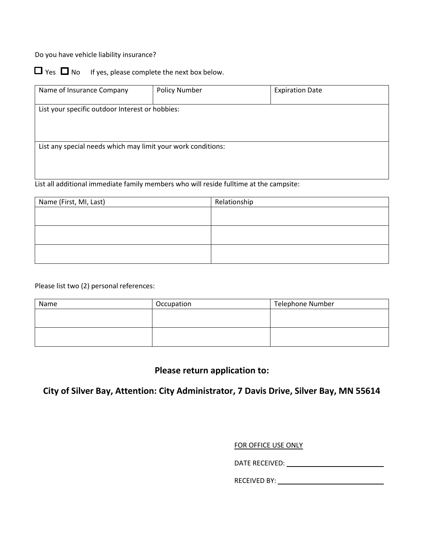Do you have vehicle liability insurance?



 $\Box$  Yes  $\Box$  No If yes, please complete the next box below.

| Name of Insurance Company                                    | <b>Policy Number</b> | <b>Expiration Date</b> |  |  |  |  |  |
|--------------------------------------------------------------|----------------------|------------------------|--|--|--|--|--|
|                                                              |                      |                        |  |  |  |  |  |
|                                                              |                      |                        |  |  |  |  |  |
| List your specific outdoor Interest or hobbies:              |                      |                        |  |  |  |  |  |
|                                                              |                      |                        |  |  |  |  |  |
|                                                              |                      |                        |  |  |  |  |  |
|                                                              |                      |                        |  |  |  |  |  |
|                                                              |                      |                        |  |  |  |  |  |
|                                                              |                      |                        |  |  |  |  |  |
|                                                              |                      |                        |  |  |  |  |  |
| List any special needs which may limit your work conditions: |                      |                        |  |  |  |  |  |
|                                                              |                      |                        |  |  |  |  |  |
|                                                              |                      |                        |  |  |  |  |  |
|                                                              |                      |                        |  |  |  |  |  |
|                                                              |                      |                        |  |  |  |  |  |
|                                                              |                      |                        |  |  |  |  |  |

List all additional immediate family members who will reside fulltime at the campsite:

| Name (First, MI, Last) | Relationship |
|------------------------|--------------|
|                        |              |
|                        |              |
|                        |              |
|                        |              |
|                        |              |
|                        |              |

Please list two (2) personal references:

| Name | Occupation | <b>Telephone Number</b> |  |  |
|------|------------|-------------------------|--|--|
|      |            |                         |  |  |
|      |            |                         |  |  |
|      |            |                         |  |  |
|      |            |                         |  |  |

# **Please return application to:**

**City of Silver Bay, Attention: City Administrator, 7 Davis Drive, Silver Bay, MN 55614**

#### FOR OFFICE USE ONLY

DATE RECEIVED:

RECEIVED BY: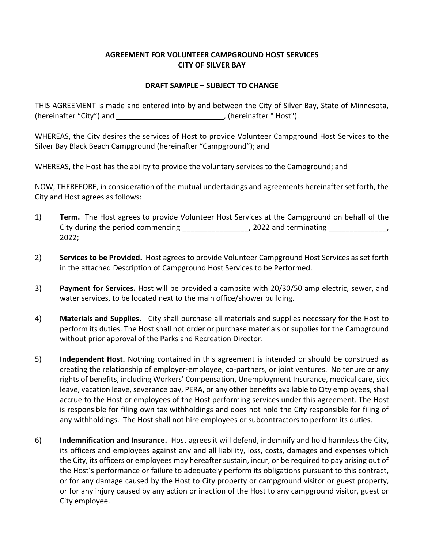# **AGREEMENT FOR VOLUNTEER CAMPGROUND HOST SERVICES CITY OF SILVER BAY**

## **DRAFT SAMPLE – SUBJECT TO CHANGE**

THIS AGREEMENT is made and entered into by and between the City of Silver Bay, State of Minnesota, (hereinafter "City") and \_\_\_\_\_\_\_\_\_\_\_\_\_\_\_\_\_\_\_\_\_\_\_\_\_\_\_\_\_\_\_\_, (hereinafter "Host").

WHEREAS, the City desires the services of Host to provide Volunteer Campground Host Services to the Silver Bay Black Beach Campground (hereinafter "Campground"); and

WHEREAS, the Host has the ability to provide the voluntary services to the Campground; and

NOW, THEREFORE, in consideration of the mutual undertakings and agreements hereinafter set forth, the City and Host agrees as follows:

- 1) **Term.** The Host agrees to provide Volunteer Host Services at the Campground on behalf of the City during the period commencing \_\_\_\_\_\_\_\_\_\_\_\_\_\_\_, 2022 and terminating \_\_\_\_\_\_\_\_ 2022;
- 2) **Services to be Provided.** Host agrees to provide Volunteer Campground Host Services as set forth in the attached Description of Campground Host Services to be Performed.
- 3) **Payment for Services.** Host will be provided a campsite with 20/30/50 amp electric, sewer, and water services, to be located next to the main office/shower building.
- 4) **Materials and Supplies.** City shall purchase all materials and supplies necessary for the Host to perform its duties. The Host shall not order or purchase materials or supplies for the Campground without prior approval of the Parks and Recreation Director.
- 5) **Independent Host.** Nothing contained in this agreement is intended or should be construed as creating the relationship of employer-employee, co-partners, or joint ventures. No tenure or any rights of benefits, including Workers' Compensation, Unemployment Insurance, medical care, sick leave, vacation leave, severance pay, PERA, or any other benefits available to City employees, shall accrue to the Host or employees of the Host performing services under this agreement. The Host is responsible for filing own tax withholdings and does not hold the City responsible for filing of any withholdings. The Host shall not hire employees or subcontractors to perform its duties.
- 6) **Indemnification and Insurance.** Host agrees it will defend, indemnify and hold harmless the City, its officers and employees against any and all liability, loss, costs, damages and expenses which the City, its officers or employees may hereafter sustain, incur, or be required to pay arising out of the Host's performance or failure to adequately perform its obligations pursuant to this contract, or for any damage caused by the Host to City property or campground visitor or guest property, or for any injury caused by any action or inaction of the Host to any campground visitor, guest or City employee.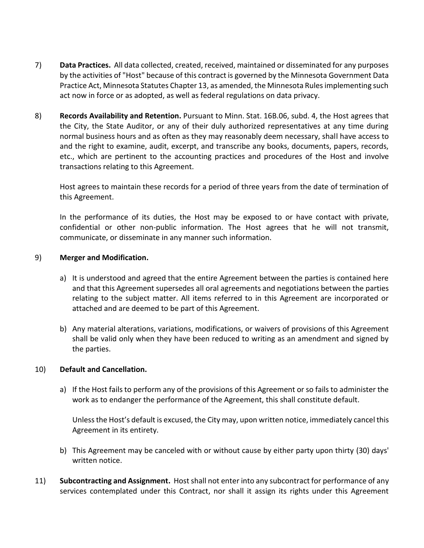- 7) **Data Practices.** All data collected, created, received, maintained or disseminated for any purposes by the activities of "Host" because of this contract is governed by the Minnesota Government Data Practice Act, Minnesota Statutes Chapter 13, as amended, the Minnesota Rules implementing such act now in force or as adopted, as well as federal regulations on data privacy.
- 8) **Records Availability and Retention.** Pursuant to Minn. Stat. 16B.06, subd. 4, the Host agrees that the City, the State Auditor, or any of their duly authorized representatives at any time during normal business hours and as often as they may reasonably deem necessary, shall have access to and the right to examine, audit, excerpt, and transcribe any books, documents, papers, records, etc., which are pertinent to the accounting practices and procedures of the Host and involve transactions relating to this Agreement.

Host agrees to maintain these records for a period of three years from the date of termination of this Agreement.

In the performance of its duties, the Host may be exposed to or have contact with private, confidential or other non-public information. The Host agrees that he will not transmit, communicate, or disseminate in any manner such information.

## 9) **Merger and Modification.**

- a) It is understood and agreed that the entire Agreement between the parties is contained here and that this Agreement supersedes all oral agreements and negotiations between the parties relating to the subject matter. All items referred to in this Agreement are incorporated or attached and are deemed to be part of this Agreement.
- b) Any material alterations, variations, modifications, or waivers of provisions of this Agreement shall be valid only when they have been reduced to writing as an amendment and signed by the parties.

## 10) **Default and Cancellation.**

a) If the Host fails to perform any of the provisions of this Agreement or so fails to administer the work as to endanger the performance of the Agreement, this shall constitute default.

Unless the Host's default is excused, the City may, upon written notice, immediately cancel this Agreement in its entirety.

- b) This Agreement may be canceled with or without cause by either party upon thirty (30) days' written notice.
- 11) **Subcontracting and Assignment.** Host shall not enter into any subcontract for performance of any services contemplated under this Contract, nor shall it assign its rights under this Agreement